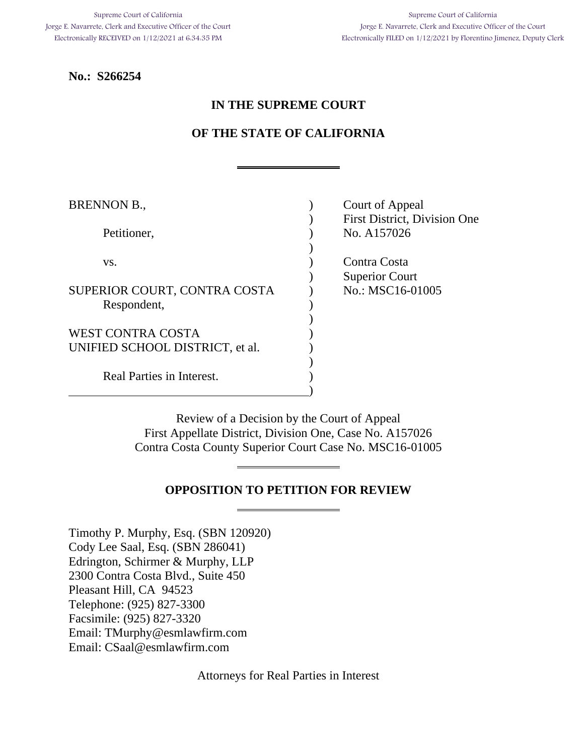Supreme Court of California Jorge E. Navarrete, Clerk and Executive Officer of the Court Electronically FILED on 1/12/2021 by Florentino Jimenez, Deputy Clerk

**No.: S266254**

## **IN THE SUPREME COURT**

# **OF THE STATE OF CALIFORNIA**

| <b>BRENNON B.,</b>              | Court of Appeal              |
|---------------------------------|------------------------------|
|                                 | First District, Division One |
| Petitioner,                     | No. A157026                  |
|                                 |                              |
| VS.                             | Contra Costa                 |
|                                 | <b>Superior Court</b>        |
| SUPERIOR COURT, CONTRA COSTA    | No.: MSC16-01005             |
| Respondent,                     |                              |
|                                 |                              |
| <b>WEST CONTRA COSTA</b>        |                              |
| UNIFIED SCHOOL DISTRICT, et al. |                              |
|                                 |                              |
| Real Parties in Interest.       |                              |
|                                 |                              |

Review of a Decision by the Court of Appeal First Appellate District, Division One, Case No. A157026 Contra Costa County Superior Court Case No. MSC16-01005

## **OPPOSITION TO PETITION FOR REVIEW**

Timothy P. Murphy, Esq. (SBN 120920) Cody Lee Saal, Esq. (SBN 286041) Edrington, Schirmer & Murphy, LLP 2300 Contra Costa Blvd., Suite 450 Pleasant Hill, CA 94523 Telephone: (925) 827-3300 Facsimile: (925) 827-3320 Email: [TMurphy@esmlawfirm.com](mailto:TMurphy@esmlawfirm.com) Email: CSaal@esmlawfirm.com

Attorneys for Real Parties in Interest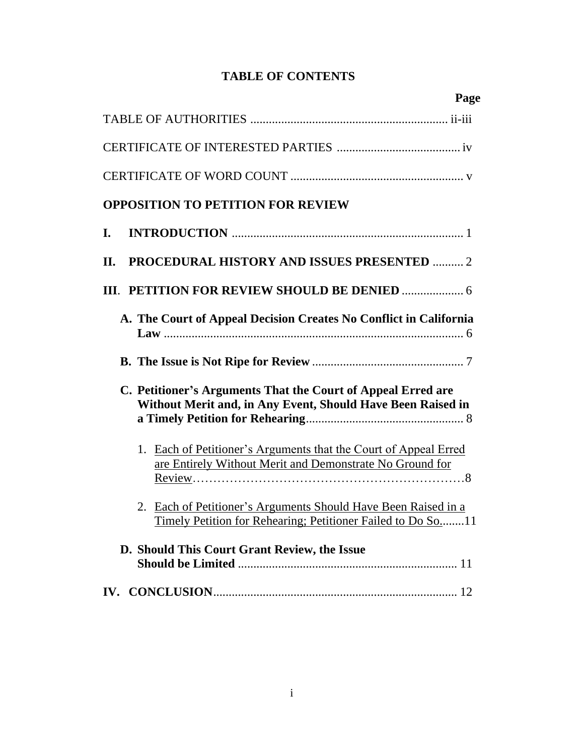# **TABLE OF CONTENTS**

| Page                                                                                                                          |
|-------------------------------------------------------------------------------------------------------------------------------|
|                                                                                                                               |
|                                                                                                                               |
|                                                                                                                               |
| <b>OPPOSITION TO PETITION FOR REVIEW</b>                                                                                      |
| I.                                                                                                                            |
| <b>PROCEDURAL HISTORY AND ISSUES PRESENTED  2</b><br>П.                                                                       |
|                                                                                                                               |
| A. The Court of Appeal Decision Creates No Conflict in California                                                             |
|                                                                                                                               |
| C. Petitioner's Arguments That the Court of Appeal Erred are<br>Without Merit and, in Any Event, Should Have Been Raised in   |
| 1. Each of Petitioner's Arguments that the Court of Appeal Erred<br>are Entirely Without Merit and Demonstrate No Ground for  |
| 2. Each of Petitioner's Arguments Should Have Been Raised in a<br>Timely Petition for Rehearing; Petitioner Failed to Do So11 |
| D. Should This Court Grant Review, the Issue                                                                                  |
|                                                                                                                               |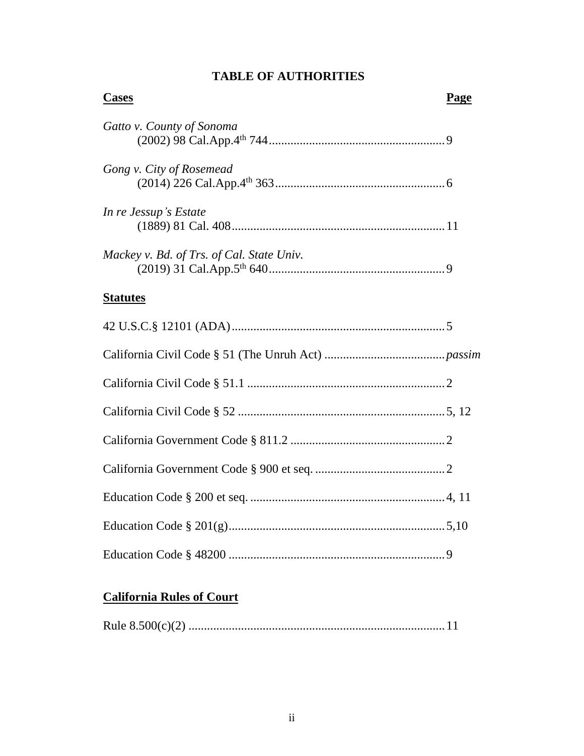| <b>Cases</b>                              | Page |
|-------------------------------------------|------|
| Gatto v. County of Sonoma                 |      |
| Gong v. City of Rosemead                  |      |
| In re Jessup's Estate                     |      |
| Mackey v. Bd. of Trs. of Cal. State Univ. |      |
| <b>Statutes</b>                           |      |
|                                           |      |
|                                           |      |
|                                           |      |
|                                           |      |
|                                           |      |
|                                           |      |
|                                           |      |
|                                           |      |
|                                           |      |

# **TABLE OF AUTHORITIES**

# **California Rules of Court**

|--|--|--|--|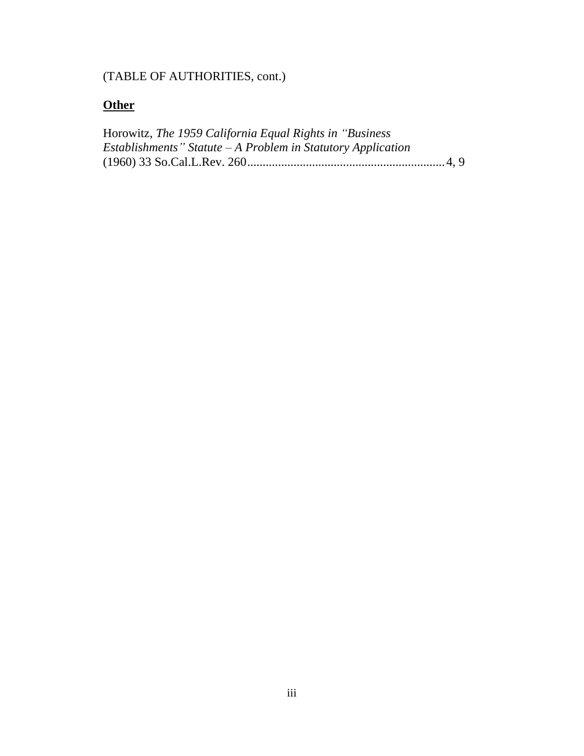# (TABLE OF AUTHORITIES, cont.)

# **Other**

| Horowitz, The 1959 California Equal Rights in "Business"      |  |
|---------------------------------------------------------------|--|
| Establishments" Statute $-A$ Problem in Statutory Application |  |
|                                                               |  |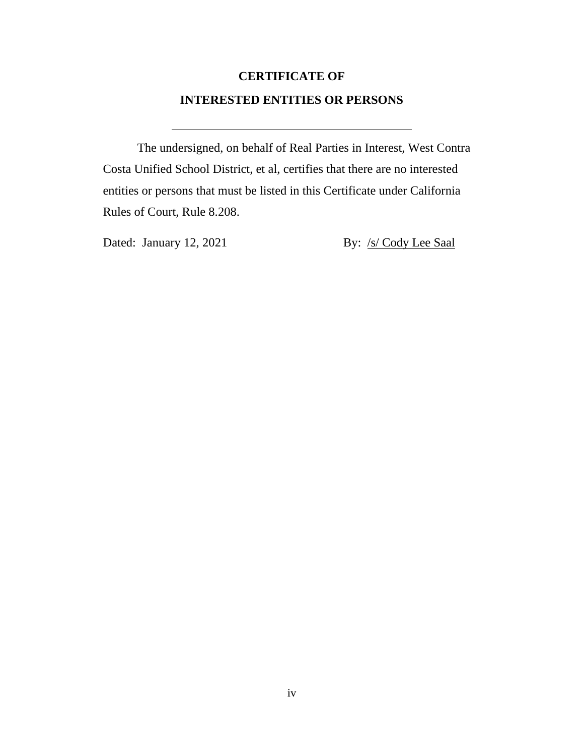# **CERTIFICATE OF INTERESTED ENTITIES OR PERSONS**

The undersigned, on behalf of Real Parties in Interest, West Contra Costa Unified School District, et al, certifies that there are no interested entities or persons that must be listed in this Certificate under California Rules of Court, Rule 8.208.

Dated: January 12, 2021 By: /s/ Cody Lee Saal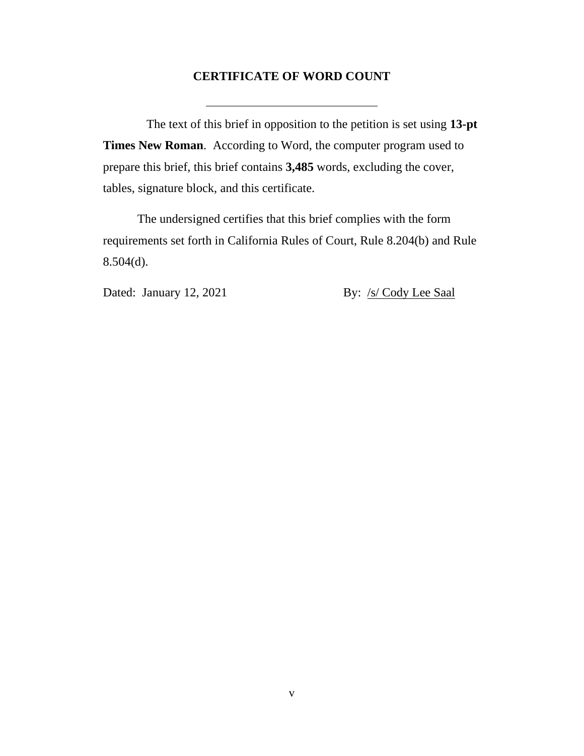#### **CERTIFICATE OF WORD COUNT**

The text of this brief in opposition to the petition is set using **13-pt Times New Roman**. According to Word, the computer program used to prepare this brief, this brief contains **3,485** words, excluding the cover, tables, signature block, and this certificate.

The undersigned certifies that this brief complies with the form requirements set forth in California Rules of Court, Rule 8.204(b) and Rule  $8.504(d)$ .

Dated: January 12, 2021 By: /s/ Cody Lee Saal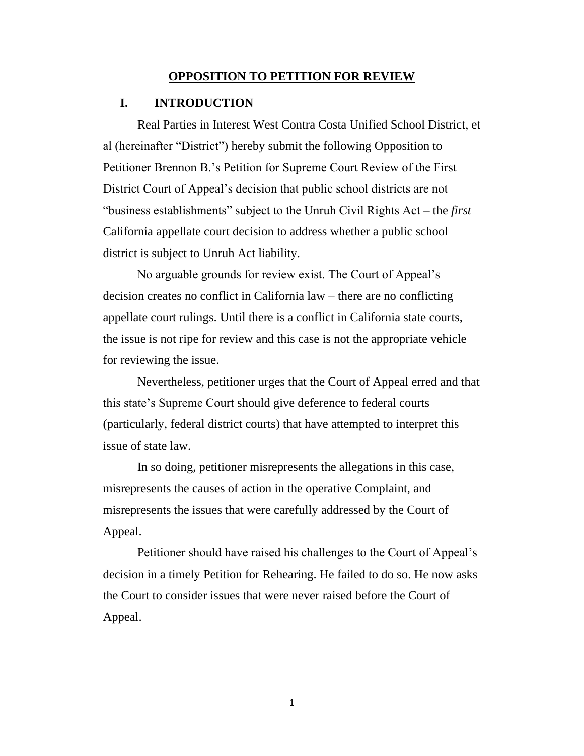#### **OPPOSITION TO PETITION FOR REVIEW**

#### **I. INTRODUCTION**

Real Parties in Interest West Contra Costa Unified School District, et al (hereinafter "District") hereby submit the following Opposition to Petitioner Brennon B.'s Petition for Supreme Court Review of the First District Court of Appeal's decision that public school districts are not "business establishments" subject to the Unruh Civil Rights Act – the *first*  California appellate court decision to address whether a public school district is subject to Unruh Act liability.

No arguable grounds for review exist. The Court of Appeal's decision creates no conflict in California law – there are no conflicting appellate court rulings. Until there is a conflict in California state courts, the issue is not ripe for review and this case is not the appropriate vehicle for reviewing the issue.

Nevertheless, petitioner urges that the Court of Appeal erred and that this state's Supreme Court should give deference to federal courts (particularly, federal district courts) that have attempted to interpret this issue of state law.

In so doing, petitioner misrepresents the allegations in this case, misrepresents the causes of action in the operative Complaint, and misrepresents the issues that were carefully addressed by the Court of Appeal.

Petitioner should have raised his challenges to the Court of Appeal's decision in a timely Petition for Rehearing. He failed to do so. He now asks the Court to consider issues that were never raised before the Court of Appeal.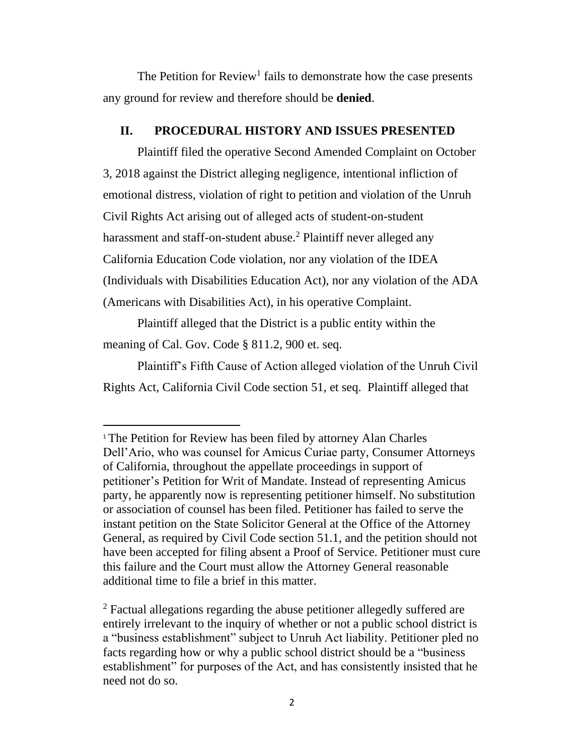The Petition for  $Review<sup>1</sup>$  fails to demonstrate how the case presents any ground for review and therefore should be **denied**.

#### **II. PROCEDURAL HISTORY AND ISSUES PRESENTED**

Plaintiff filed the operative Second Amended Complaint on October 3, 2018 against the District alleging negligence, intentional infliction of emotional distress, violation of right to petition and violation of the Unruh Civil Rights Act arising out of alleged acts of student-on-student harassment and staff-on-student abuse.<sup>2</sup> Plaintiff never alleged any California Education Code violation, nor any violation of the IDEA (Individuals with Disabilities Education Act), nor any violation of the ADA (Americans with Disabilities Act), in his operative Complaint.

Plaintiff alleged that the District is a public entity within the meaning of Cal. Gov. Code § 811.2, 900 et. seq.

Plaintiff's Fifth Cause of Action alleged violation of the Unruh Civil Rights Act, California Civil Code section 51, et seq. Plaintiff alleged that

<sup>1</sup> The Petition for Review has been filed by attorney Alan Charles Dell'Ario, who was counsel for Amicus Curiae party, Consumer Attorneys of California, throughout the appellate proceedings in support of petitioner's Petition for Writ of Mandate. Instead of representing Amicus party, he apparently now is representing petitioner himself. No substitution or association of counsel has been filed. Petitioner has failed to serve the instant petition on the State Solicitor General at the Office of the Attorney General, as required by Civil Code section 51.1, and the petition should not have been accepted for filing absent a Proof of Service. Petitioner must cure this failure and the Court must allow the Attorney General reasonable additional time to file a brief in this matter.

<sup>&</sup>lt;sup>2</sup> Factual allegations regarding the abuse petitioner allegedly suffered are entirely irrelevant to the inquiry of whether or not a public school district is a "business establishment" subject to Unruh Act liability. Petitioner pled no facts regarding how or why a public school district should be a "business establishment" for purposes of the Act, and has consistently insisted that he need not do so.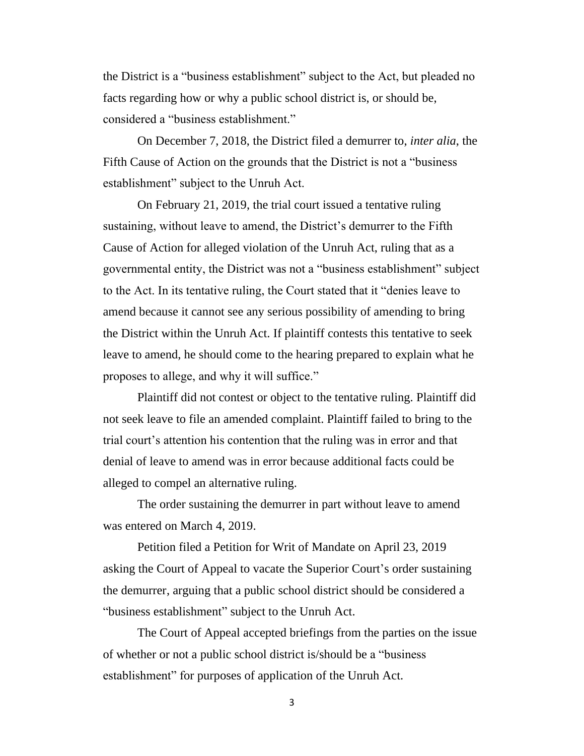the District is a "business establishment" subject to the Act, but pleaded no facts regarding how or why a public school district is, or should be, considered a "business establishment."

On December 7, 2018, the District filed a demurrer to, *inter alia*, the Fifth Cause of Action on the grounds that the District is not a "business establishment" subject to the Unruh Act.

On February 21, 2019, the trial court issued a tentative ruling sustaining, without leave to amend, the District's demurrer to the Fifth Cause of Action for alleged violation of the Unruh Act, ruling that as a governmental entity, the District was not a "business establishment" subject to the Act. In its tentative ruling, the Court stated that it "denies leave to amend because it cannot see any serious possibility of amending to bring the District within the Unruh Act. If plaintiff contests this tentative to seek leave to amend, he should come to the hearing prepared to explain what he proposes to allege, and why it will suffice."

Plaintiff did not contest or object to the tentative ruling. Plaintiff did not seek leave to file an amended complaint. Plaintiff failed to bring to the trial court's attention his contention that the ruling was in error and that denial of leave to amend was in error because additional facts could be alleged to compel an alternative ruling.

The order sustaining the demurrer in part without leave to amend was entered on March 4, 2019.

Petition filed a Petition for Writ of Mandate on April 23, 2019 asking the Court of Appeal to vacate the Superior Court's order sustaining the demurrer, arguing that a public school district should be considered a "business establishment" subject to the Unruh Act.

The Court of Appeal accepted briefings from the parties on the issue of whether or not a public school district is/should be a "business establishment" for purposes of application of the Unruh Act.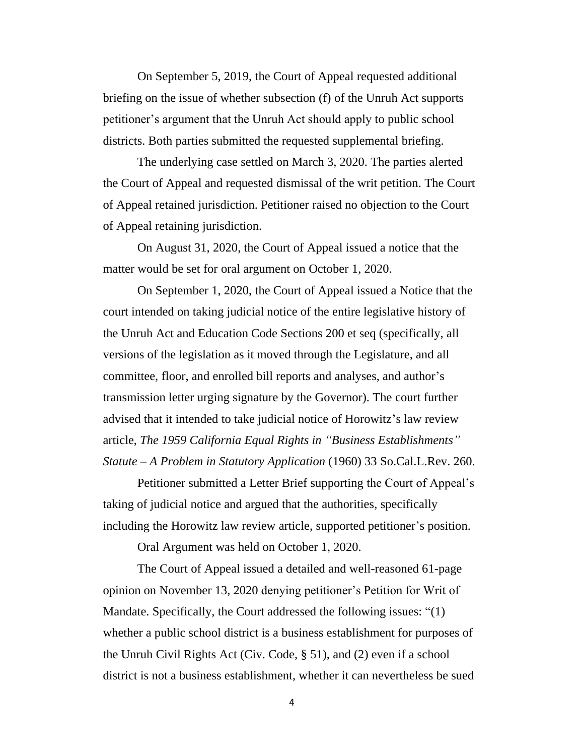On September 5, 2019, the Court of Appeal requested additional briefing on the issue of whether subsection (f) of the Unruh Act supports petitioner's argument that the Unruh Act should apply to public school districts. Both parties submitted the requested supplemental briefing.

The underlying case settled on March 3, 2020. The parties alerted the Court of Appeal and requested dismissal of the writ petition. The Court of Appeal retained jurisdiction. Petitioner raised no objection to the Court of Appeal retaining jurisdiction.

On August 31, 2020, the Court of Appeal issued a notice that the matter would be set for oral argument on October 1, 2020.

On September 1, 2020, the Court of Appeal issued a Notice that the court intended on taking judicial notice of the entire legislative history of the Unruh Act and Education Code Sections 200 et seq (specifically, all versions of the legislation as it moved through the Legislature, and all committee, floor, and enrolled bill reports and analyses, and author's transmission letter urging signature by the Governor). The court further advised that it intended to take judicial notice of Horowitz's law review article, *The 1959 California Equal Rights in "Business Establishments" Statute – A Problem in Statutory Application* (1960) 33 So.Cal.L.Rev. 260.

Petitioner submitted a Letter Brief supporting the Court of Appeal's taking of judicial notice and argued that the authorities, specifically including the Horowitz law review article, supported petitioner's position.

Oral Argument was held on October 1, 2020.

The Court of Appeal issued a detailed and well-reasoned 61-page opinion on November 13, 2020 denying petitioner's Petition for Writ of Mandate. Specifically, the Court addressed the following issues: "(1) whether a public school district is a business establishment for purposes of the Unruh Civil Rights Act (Civ. Code, § 51), and (2) even if a school district is not a business establishment, whether it can nevertheless be sued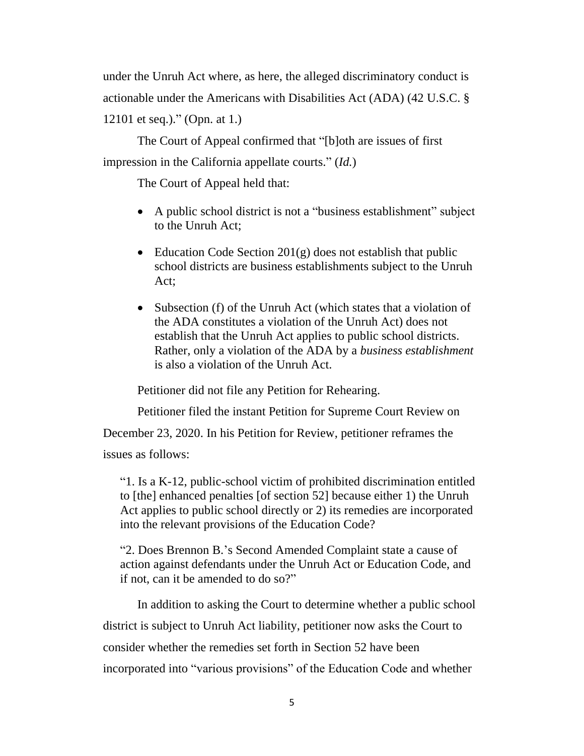under the Unruh Act where, as here, the alleged discriminatory conduct is actionable under the Americans with Disabilities Act (ADA) (42 U.S.C. § 12101 et seq.)." (Opn. at 1.)

The Court of Appeal confirmed that "[b]oth are issues of first impression in the California appellate courts." (*Id.*)

The Court of Appeal held that:

- A public school district is not a "business establishment" subject to the Unruh Act;
- Education Code Section  $201(g)$  does not establish that public school districts are business establishments subject to the Unruh Act;
- Subsection (f) of the Unruh Act (which states that a violation of the ADA constitutes a violation of the Unruh Act) does not establish that the Unruh Act applies to public school districts. Rather, only a violation of the ADA by a *business establishment*  is also a violation of the Unruh Act.

Petitioner did not file any Petition for Rehearing.

Petitioner filed the instant Petition for Supreme Court Review on

December 23, 2020. In his Petition for Review, petitioner reframes the issues as follows:

"1. Is a K-12, public-school victim of prohibited discrimination entitled to [the] enhanced penalties [of section 52] because either 1) the Unruh Act applies to public school directly or 2) its remedies are incorporated into the relevant provisions of the Education Code?

"2. Does Brennon B.'s Second Amended Complaint state a cause of action against defendants under the Unruh Act or Education Code, and if not, can it be amended to do so?"

In addition to asking the Court to determine whether a public school district is subject to Unruh Act liability, petitioner now asks the Court to consider whether the remedies set forth in Section 52 have been incorporated into "various provisions" of the Education Code and whether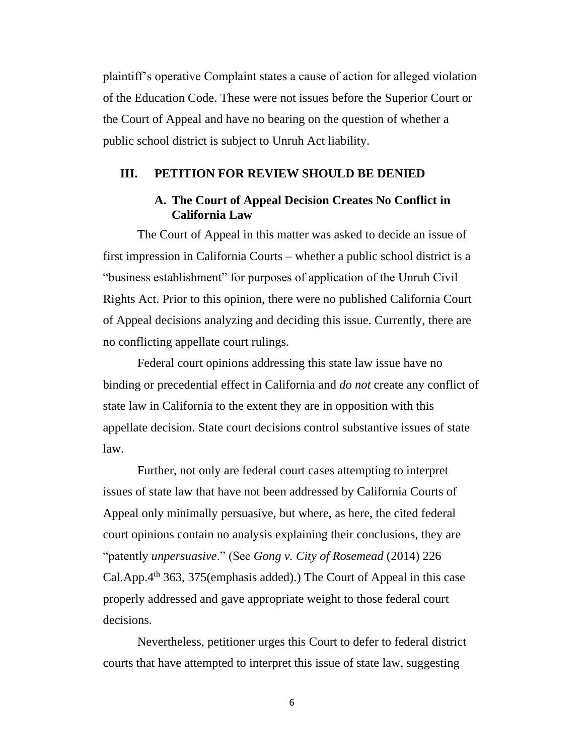plaintiff's operative Complaint states a cause of action for alleged violation of the Education Code. These were not issues before the Superior Court or the Court of Appeal and have no bearing on the question of whether a public school district is subject to Unruh Act liability.

### **III. PETITION FOR REVIEW SHOULD BE DENIED**

## **A. The Court of Appeal Decision Creates No Conflict in California Law**

The Court of Appeal in this matter was asked to decide an issue of first impression in California Courts – whether a public school district is a "business establishment" for purposes of application of the Unruh Civil Rights Act. Prior to this opinion, there were no published California Court of Appeal decisions analyzing and deciding this issue. Currently, there are no conflicting appellate court rulings.

Federal court opinions addressing this state law issue have no binding or precedential effect in California and *do not* create any conflict of state law in California to the extent they are in opposition with this appellate decision. State court decisions control substantive issues of state law.

Further, not only are federal court cases attempting to interpret issues of state law that have not been addressed by California Courts of Appeal only minimally persuasive, but where, as here, the cited federal court opinions contain no analysis explaining their conclusions, they are "patently *unpersuasive*." (See *Gong v. City of Rosemead* (2014) 226 Cal.App. $4<sup>th</sup> 363$ , 375(emphasis added).) The Court of Appeal in this case properly addressed and gave appropriate weight to those federal court decisions.

Nevertheless, petitioner urges this Court to defer to federal district courts that have attempted to interpret this issue of state law, suggesting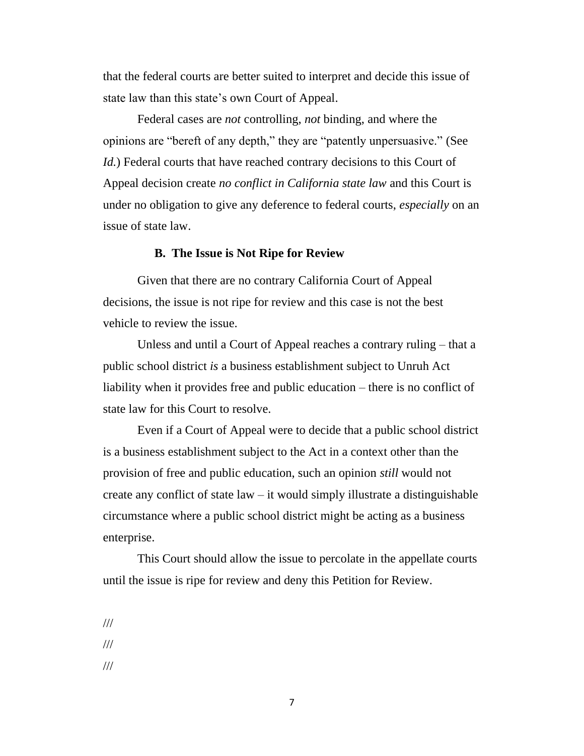that the federal courts are better suited to interpret and decide this issue of state law than this state's own Court of Appeal.

Federal cases are *not* controlling, *not* binding, and where the opinions are "bereft of any depth," they are "patently unpersuasive." (See *Id.*) Federal courts that have reached contrary decisions to this Court of Appeal decision create *no conflict in California state law* and this Court is under no obligation to give any deference to federal courts, *especially* on an issue of state law.

#### **B. The Issue is Not Ripe for Review**

Given that there are no contrary California Court of Appeal decisions, the issue is not ripe for review and this case is not the best vehicle to review the issue.

Unless and until a Court of Appeal reaches a contrary ruling – that a public school district *is* a business establishment subject to Unruh Act liability when it provides free and public education – there is no conflict of state law for this Court to resolve.

Even if a Court of Appeal were to decide that a public school district is a business establishment subject to the Act in a context other than the provision of free and public education, such an opinion *still* would not create any conflict of state law – it would simply illustrate a distinguishable circumstance where a public school district might be acting as a business enterprise.

This Court should allow the issue to percolate in the appellate courts until the issue is ripe for review and deny this Petition for Review.

/// ///

///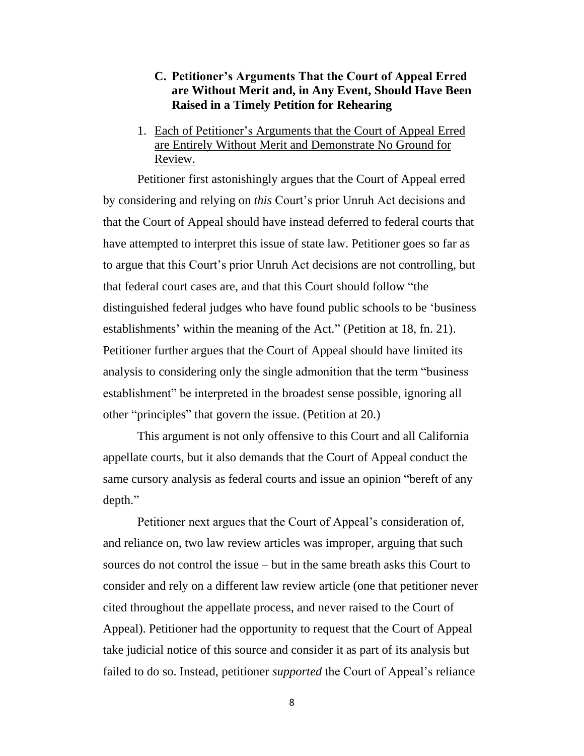## **C. Petitioner's Arguments That the Court of Appeal Erred are Without Merit and, in Any Event, Should Have Been Raised in a Timely Petition for Rehearing**

1. Each of Petitioner's Arguments that the Court of Appeal Erred are Entirely Without Merit and Demonstrate No Ground for Review.

Petitioner first astonishingly argues that the Court of Appeal erred by considering and relying on *this* Court's prior Unruh Act decisions and that the Court of Appeal should have instead deferred to federal courts that have attempted to interpret this issue of state law. Petitioner goes so far as to argue that this Court's prior Unruh Act decisions are not controlling, but that federal court cases are, and that this Court should follow "the distinguished federal judges who have found public schools to be 'business establishments' within the meaning of the Act." (Petition at 18, fn. 21). Petitioner further argues that the Court of Appeal should have limited its analysis to considering only the single admonition that the term "business establishment" be interpreted in the broadest sense possible, ignoring all other "principles" that govern the issue. (Petition at 20.)

This argument is not only offensive to this Court and all California appellate courts, but it also demands that the Court of Appeal conduct the same cursory analysis as federal courts and issue an opinion "bereft of any depth."

Petitioner next argues that the Court of Appeal's consideration of, and reliance on, two law review articles was improper, arguing that such sources do not control the issue – but in the same breath asks this Court to consider and rely on a different law review article (one that petitioner never cited throughout the appellate process, and never raised to the Court of Appeal). Petitioner had the opportunity to request that the Court of Appeal take judicial notice of this source and consider it as part of its analysis but failed to do so. Instead, petitioner *supported* the Court of Appeal's reliance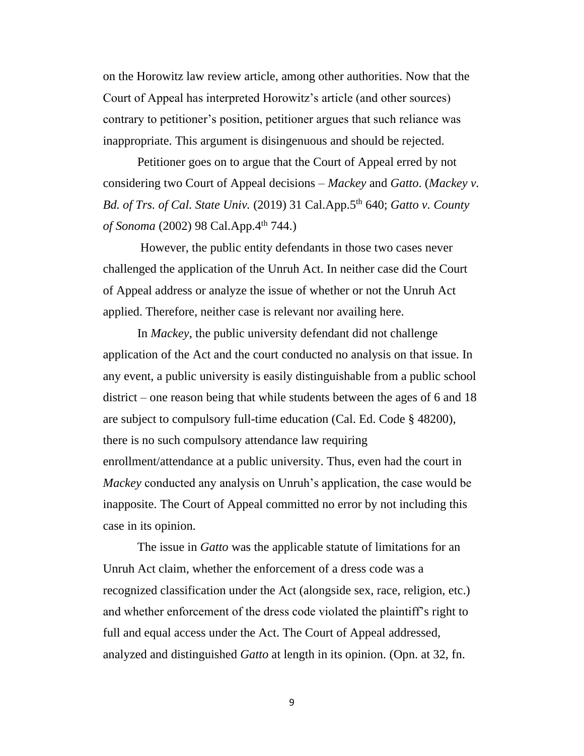on the Horowitz law review article, among other authorities. Now that the Court of Appeal has interpreted Horowitz's article (and other sources) contrary to petitioner's position, petitioner argues that such reliance was inappropriate. This argument is disingenuous and should be rejected.

Petitioner goes on to argue that the Court of Appeal erred by not considering two Court of Appeal decisions – *Mackey* and *Gatto*. (*Mackey v. Bd. of Trs. of Cal. State Univ.* (2019) 31 Cal.App.5th 640; *Gatto v. County*  of Sonoma (2002) 98 Cal.App.4<sup>th</sup> 744.)

However, the public entity defendants in those two cases never challenged the application of the Unruh Act. In neither case did the Court of Appeal address or analyze the issue of whether or not the Unruh Act applied. Therefore, neither case is relevant nor availing here.

In *Mackey*, the public university defendant did not challenge application of the Act and the court conducted no analysis on that issue. In any event, a public university is easily distinguishable from a public school district – one reason being that while students between the ages of 6 and 18 are subject to compulsory full-time education (Cal. Ed. Code § 48200), there is no such compulsory attendance law requiring enrollment/attendance at a public university. Thus, even had the court in *Mackey* conducted any analysis on Unruh's application, the case would be inapposite. The Court of Appeal committed no error by not including this case in its opinion.

The issue in *Gatto* was the applicable statute of limitations for an Unruh Act claim, whether the enforcement of a dress code was a recognized classification under the Act (alongside sex, race, religion, etc.) and whether enforcement of the dress code violated the plaintiff's right to full and equal access under the Act. The Court of Appeal addressed, analyzed and distinguished *Gatto* at length in its opinion. (Opn. at 32, fn.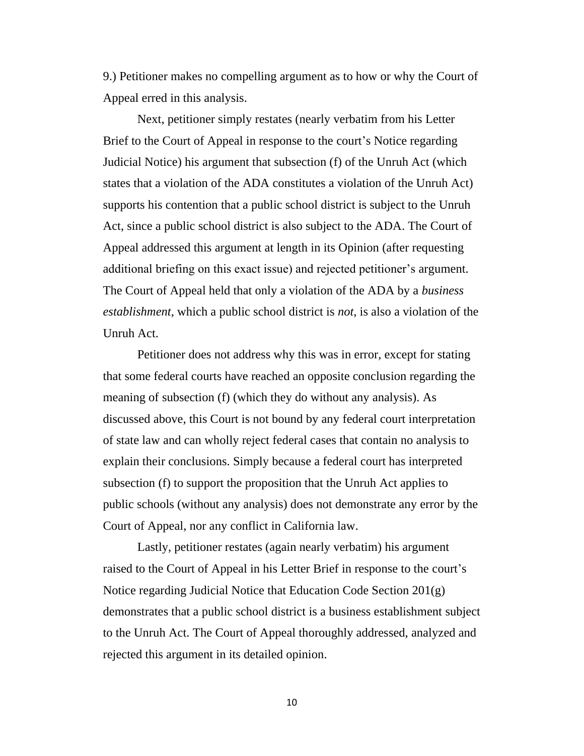9.) Petitioner makes no compelling argument as to how or why the Court of Appeal erred in this analysis.

Next, petitioner simply restates (nearly verbatim from his Letter Brief to the Court of Appeal in response to the court's Notice regarding Judicial Notice) his argument that subsection (f) of the Unruh Act (which states that a violation of the ADA constitutes a violation of the Unruh Act) supports his contention that a public school district is subject to the Unruh Act, since a public school district is also subject to the ADA. The Court of Appeal addressed this argument at length in its Opinion (after requesting additional briefing on this exact issue) and rejected petitioner's argument. The Court of Appeal held that only a violation of the ADA by a *business establishment*, which a public school district is *not*, is also a violation of the Unruh Act.

Petitioner does not address why this was in error, except for stating that some federal courts have reached an opposite conclusion regarding the meaning of subsection (f) (which they do without any analysis). As discussed above, this Court is not bound by any federal court interpretation of state law and can wholly reject federal cases that contain no analysis to explain their conclusions. Simply because a federal court has interpreted subsection (f) to support the proposition that the Unruh Act applies to public schools (without any analysis) does not demonstrate any error by the Court of Appeal, nor any conflict in California law.

Lastly, petitioner restates (again nearly verbatim) his argument raised to the Court of Appeal in his Letter Brief in response to the court's Notice regarding Judicial Notice that Education Code Section 201(g) demonstrates that a public school district is a business establishment subject to the Unruh Act. The Court of Appeal thoroughly addressed, analyzed and rejected this argument in its detailed opinion.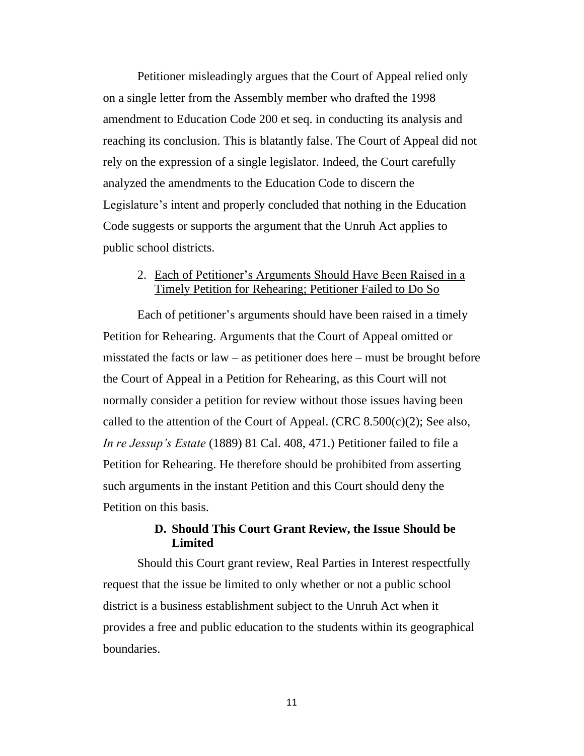Petitioner misleadingly argues that the Court of Appeal relied only on a single letter from the Assembly member who drafted the 1998 amendment to Education Code 200 et seq. in conducting its analysis and reaching its conclusion. This is blatantly false. The Court of Appeal did not rely on the expression of a single legislator. Indeed, the Court carefully analyzed the amendments to the Education Code to discern the Legislature's intent and properly concluded that nothing in the Education Code suggests or supports the argument that the Unruh Act applies to public school districts.

## 2. Each of Petitioner's Arguments Should Have Been Raised in a Timely Petition for Rehearing; Petitioner Failed to Do So

Each of petitioner's arguments should have been raised in a timely Petition for Rehearing. Arguments that the Court of Appeal omitted or misstated the facts or  $law - as$  petitioner does here – must be brought before the Court of Appeal in a Petition for Rehearing, as this Court will not normally consider a petition for review without those issues having been called to the attention of the Court of Appeal. (CRC 8.500 $(c)(2)$ ; See also, *In re Jessup's Estate* (1889) 81 Cal. 408, 471.) Petitioner failed to file a Petition for Rehearing. He therefore should be prohibited from asserting such arguments in the instant Petition and this Court should deny the Petition on this basis.

## **D. Should This Court Grant Review, the Issue Should be Limited**

Should this Court grant review, Real Parties in Interest respectfully request that the issue be limited to only whether or not a public school district is a business establishment subject to the Unruh Act when it provides a free and public education to the students within its geographical boundaries.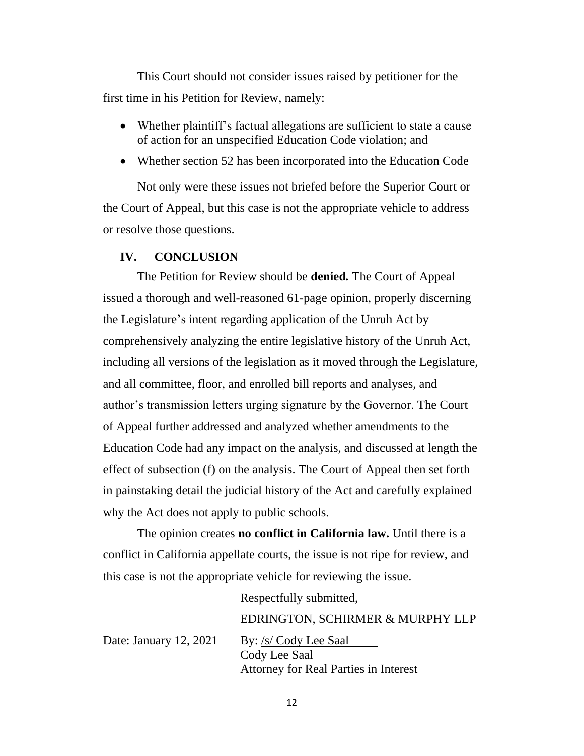This Court should not consider issues raised by petitioner for the first time in his Petition for Review, namely:

- Whether plaintiff's factual allegations are sufficient to state a cause of action for an unspecified Education Code violation; and
- Whether section 52 has been incorporated into the Education Code

Not only were these issues not briefed before the Superior Court or the Court of Appeal, but this case is not the appropriate vehicle to address or resolve those questions.

#### **IV. CONCLUSION**

The Petition for Review should be **denied***.* The Court of Appeal issued a thorough and well-reasoned 61-page opinion, properly discerning the Legislature's intent regarding application of the Unruh Act by comprehensively analyzing the entire legislative history of the Unruh Act, including all versions of the legislation as it moved through the Legislature, and all committee, floor, and enrolled bill reports and analyses, and author's transmission letters urging signature by the Governor. The Court of Appeal further addressed and analyzed whether amendments to the Education Code had any impact on the analysis, and discussed at length the effect of subsection (f) on the analysis. The Court of Appeal then set forth in painstaking detail the judicial history of the Act and carefully explained why the Act does not apply to public schools.

The opinion creates **no conflict in California law.** Until there is a conflict in California appellate courts, the issue is not ripe for review, and this case is not the appropriate vehicle for reviewing the issue.

Respectfully submitted,

Date: January 12, 2021 By: /s/ Cody Lee Saal Cody Lee Saal Attorney for Real Parties in Interest

EDRINGTON, SCHIRMER & MURPHY LLP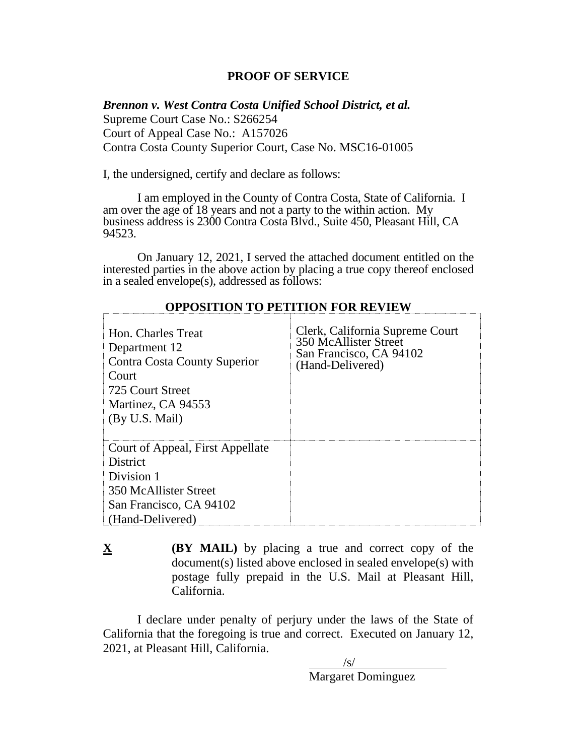### **PROOF OF SERVICE**

*Brennon v. West Contra Costa Unified School District, et al.*  Supreme Court Case No.: S266254 Court of Appeal Case No.: A157026 Contra Costa County Superior Court, Case No. MSC16-01005

I, the undersigned, certify and declare as follows:

I am employed in the County of Contra Costa, State of California. I am over the age of 18 years and not a party to the within action. My business address is 2300 Contra Costa Blvd., Suite 450, Pleasant Hill, CA 94523.

On January 12, 2021, I served the attached document entitled on the interested parties in the above action by placing a true copy thereof enclosed in a sealed envelope(s), addressed as follows:

| Hon. Charles Treat<br>Department 12<br>Contra Costa County Superior<br>Court<br>725 Court Street<br>Martinez, CA 94553<br>(By U.S. Mail)  | Clerk, California Supreme Court<br>350 McAllister Street<br>San Francisco, CA 94102<br>(Hand-Delivered) |
|-------------------------------------------------------------------------------------------------------------------------------------------|---------------------------------------------------------------------------------------------------------|
| Court of Appeal, First Appellate<br><b>District</b><br>Division 1<br>350 McAllister Street<br>San Francisco, CA 94102<br>(Hand-Delivered) |                                                                                                         |

#### **OPPOSITION TO PETITION FOR REVIEW**

**X (BY MAIL)** by placing a true and correct copy of the document(s) listed above enclosed in sealed envelope(s) with postage fully prepaid in the U.S. Mail at Pleasant Hill, California.

I declare under penalty of perjury under the laws of the State of California that the foregoing is true and correct. Executed on January 12, 2021, at Pleasant Hill, California.

 $\sqrt{s}$ / Margaret Dominguez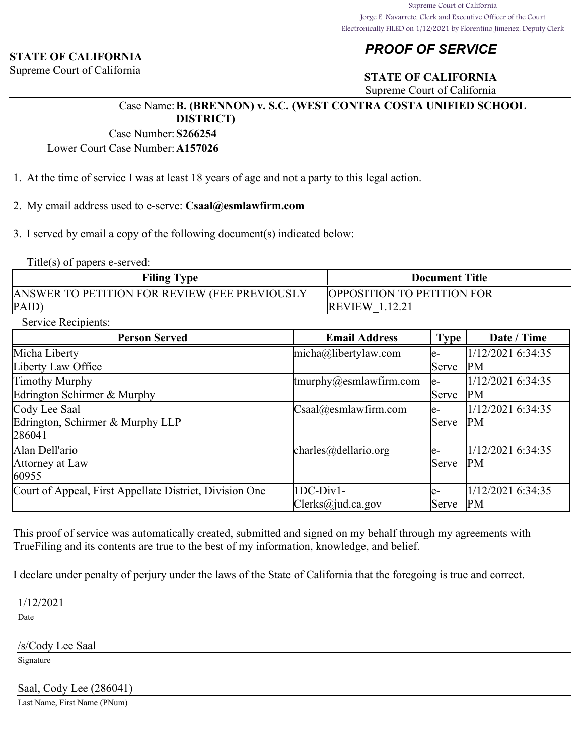#### **STATE OF CALIFORNIA**

Supreme Court of California

# *PROOF OF SERVICE*

# **STATE OF CALIFORNIA**

Supreme Court of California

### Case Name:**B. (BRENNON) v. S.C. (WEST CONTRA COSTA UNIFIED SCHOOL DISTRICT)**

Case Number:**S266254**

Lower Court Case Number:**A157026**

- 1. At the time of service I was at least 18 years of age and not a party to this legal action.
- 2. My email address used to e-serve: **Csaal@esmlawfirm.com**

3. I served by email a copy of the following document(s) indicated below:

Title(s) of papers e-served:

| <b>Filing Type</b>                            | <b>Document Title</b>             |  |  |
|-----------------------------------------------|-----------------------------------|--|--|
| ANSWER TO PETITION FOR REVIEW (FEE PREVIOUSLY | <b>OPPOSITION TO PETITION FOR</b> |  |  |
| $\overline{PAID}$                             | <b>REVIEW 1.12.21</b>             |  |  |

Service Recipients:

| <b>Person Served</b>                                    | <b>Email Address</b>                             | <b>Type</b>  | Date / Time       |
|---------------------------------------------------------|--------------------------------------------------|--------------|-------------------|
| Micha Liberty                                           | $micha@$ libertylaw.com                          | le-          | 1/12/2021 6:34:35 |
| Liberty Law Office                                      |                                                  | Serve        | <b>PM</b>         |
| Timothy Murphy                                          | $\frac{1}{2}$ tmurphy@esmlawfirm.com             | le-          | 1/12/2021 6:34:35 |
| Edrington Schirmer & Murphy                             |                                                  | <b>Serve</b> | PM                |
| Cody Lee Saal                                           | $\text{Csaa}$ l $\textcircled{a}$ esmlawfirm.com | le-          | 1/12/2021 6:34:35 |
| Edrington, Schirmer & Murphy LLP                        |                                                  | Serve        | PM                |
| 286041                                                  |                                                  |              |                   |
| Alan Dell'ario                                          | charles@dellario.org                             | le-          | 1/12/2021 6:34:35 |
| Attorney at Law                                         |                                                  | Serve        | <b>PM</b>         |
| 60955                                                   |                                                  |              |                   |
| Court of Appeal, First Appellate District, Division One | $1DC-Div1-$                                      | le-          | 1/12/2021 6:34:35 |
|                                                         | $\text{Clerks}(a)$ jud.ca.gov                    | Serve        | PM                |

This proof of service was automatically created, submitted and signed on my behalf through my agreements with TrueFiling and its contents are true to the best of my information, knowledge, and belief.

I declare under penalty of perjury under the laws of the State of California that the foregoing is true and correct.

1/12/2021

Date

/s/Cody Lee Saal

Signature

Saal, Cody Lee (286041)

Last Name, First Name (PNum)